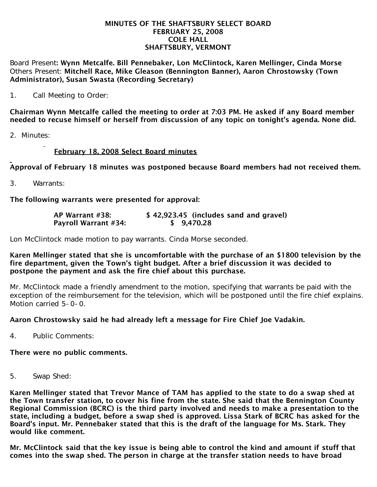#### MINUTES OF THE SHAFTSBURY SELECT BOARD FEBRUARY 25, 2008 COLE HALL SHAFTSBURY, VERMONT

Board Present: Wynn Metcalfe. Bill Pennebaker, Lon McClintock, Karen Mellinger, Cinda Morse Others Present: Mitchell Race, Mike Gleason (Bennington Banner), Aaron Chrostowsky (Town Administrator), Susan Swasta (Recording Secretary)

1. Call Meeting to Order:

Chairman Wynn Metcalfe called the meeting to order at 7:03 PM. He asked if any Board member needed to recuse himself or herself from discussion of any topic on tonight's agenda. None did.

2. Minutes:

# February 18, 2008 Select Board minutes

Approval of February 18 minutes was postponed because Board members had not received them.

3. Warrants:

The following warrants were presented for approval:

| AP Warrant #38:             | \$42,923.45 (includes sand and gravel) |
|-----------------------------|----------------------------------------|
| <b>Payroll Warrant #34:</b> | \$9,470.28                             |

Lon McClintock made motion to pay warrants. Cinda Morse seconded.

### Karen Mellinger stated that she is uncomfortable with the purchase of an \$1800 television by the fire department, given the Town's tight budget. After a brief discussion it was decided to postpone the payment and ask the fire chief about this purchase.

Mr. McClintock made a friendly amendment to the motion, specifying that warrants be paid with the exception of the reimbursement for the television, which will be postponed until the fire chief explains. Motion carried 5-0-0.

## Aaron Chrostowsky said he had already left a message for Fire Chief Joe Vadakin.

4. Public Comments:

## There were no public comments.

5. Swap Shed:

Karen Mellinger stated that Trevor Mance of TAM has applied to the state to do a swap shed at the Town transfer station, to cover his fine from the state. She said that the Bennington County Regional Commission (BCRC) is the third party involved and needs to make a presentation to the state, including a budget, before a swap shed is approved. Lissa Stark of BCRC has asked for the Board's input. Mr. Pennebaker stated that this is the draft of the language for Ms. Stark. They would like comment.

Mr. McClintock said that the key issue is being able to control the kind and amount if stuff that comes into the swap shed. The person in charge at the transfer station needs to have broad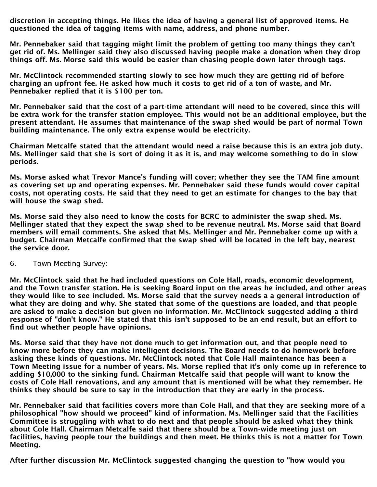discretion in accepting things. He likes the idea of having a general list of approved items. He questioned the idea of tagging items with name, address, and phone number.

Mr. Pennebaker said that tagging might limit the problem of getting too many things they can't get rid of. Ms. Mellinger said they also discussed having people make a donation when they drop things off. Ms. Morse said this would be easier than chasing people down later through tags.

Mr. McClintock recommended starting slowly to see how much they are getting rid of before charging an upfront fee. He asked how much it costs to get rid of a ton of waste, and Mr. Pennebaker replied that it is \$100 per ton.

Mr. Pennebaker said that the cost of a part-time attendant will need to be covered, since this will be extra work for the transfer station employee. This would not be an additional employee, but the present attendant. He assumes that maintenance of the swap shed would be part of normal Town building maintenance. The only extra expense would be electricity.

Chairman Metcalfe stated that the attendant would need a raise because this is an extra job duty. Ms. Mellinger said that she is sort of doing it as it is, and may welcome something to do in slow periods.

Ms. Morse asked what Trevor Mance's funding will cover; whether they see the TAM fine amount as covering set up and operating expenses. Mr. Pennebaker said these funds would cover capital costs, not operating costs. He said that they need to get an estimate for changes to the bay that will house the swap shed.

Ms. Morse said they also need to know the costs for BCRC to administer the swap shed. Ms. Mellinger stated that they expect the swap shed to be revenue neutral. Ms. Morse said that Board members will email comments. She asked that Ms. Mellinger and Mr. Pennebaker come up with a budget. Chairman Metcalfe confirmed that the swap shed will be located in the left bay, nearest the service door.

6. Town Meeting Survey:

Mr. McClintock said that he had included questions on Cole Hall, roads, economic development, and the Town transfer station. He is seeking Board input on the areas he included, and other areas they would like to see included. Ms. Morse said that the survey needs a a general introduction of what they are doing and why. She stated that some of the questions are loaded, and that people are asked to make a decision but given no information. Mr. McClintock suggested adding a third response of "don't know." He stated that this isn't supposed to be an end result, but an effort to find out whether people have opinions.

Ms. Morse said that they have not done much to get information out, and that people need to know more before they can make intelligent decisions. The Board needs to do homework before asking these kinds of questions. Mr. McClintock noted that Cole Hall maintenance has been a Town Meeting issue for a number of years. Ms. Morse replied that it's only come up in reference to adding \$10,000 to the sinking fund. Chairman Metcalfe said that people will want to know the costs of Cole Hall renovations, and any amount that is mentioned will be what they remember. He thinks they should be sure to say in the introduction that they are early in the process.

Mr. Pennebaker said that facilities covers more than Cole Hall, and that they are seeking more of a philosophical "how should we proceed" kind of information. Ms. Mellinger said that the Facilities Committee is struggling with what to do next and that people should be asked what they think about Cole Hall. Chairman Metcalfe said that there should be a Town-wide meeting just on facilities, having people tour the buildings and then meet. He thinks this is not a matter for Town Meeting.

After further discussion Mr. McClintock suggested changing the question to "how would you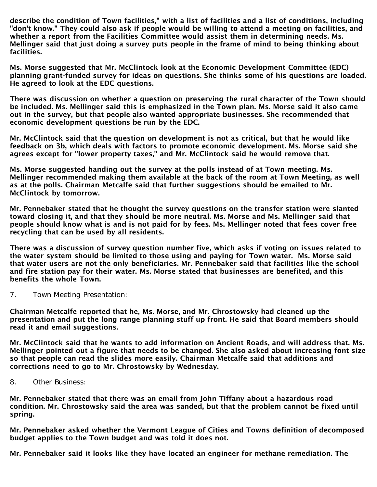describe the condition of Town facilities," with a list of facilities and a list of conditions, including "don't know." They could also ask if people would be willing to attend a meeting on facilities, and whether a report from the Facilities Committee would assist them in determining needs. Ms. Mellinger said that just doing a survey puts people in the frame of mind to being thinking about facilities.

Ms. Morse suggested that Mr. McClintock look at the Economic Development Committee (EDC) planning grant-funded survey for ideas on questions. She thinks some of his questions are loaded. He agreed to look at the EDC questions.

There was discussion on whether a question on preserving the rural character of the Town should be included. Ms. Mellinger said this is emphasized in the Town plan. Ms. Morse said it also came out in the survey, but that people also wanted appropriate businesses. She recommended that economic development questions be run by the EDC.

Mr. McClintock said that the question on development is not as critical, but that he would like feedback on 3b, which deals with factors to promote economic development. Ms. Morse said she agrees except for "lower property taxes," and Mr. McClintock said he would remove that.

Ms. Morse suggested handing out the survey at the polls instead of at Town meeting. Ms. Mellinger recommended making them available at the back of the room at Town Meeting, as well as at the polls. Chairman Metcalfe said that further suggestions should be emailed to Mr. McClintock by tomorrow.

Mr. Pennebaker stated that he thought the survey questions on the transfer station were slanted toward closing it, and that they should be more neutral. Ms. Morse and Ms. Mellinger said that people should know what is and is not paid for by fees. Ms. Mellinger noted that fees cover free recycling that can be used by all residents.

There was a discussion of survey question number five, which asks if voting on issues related to the water system should be limited to those using and paying for Town water. Ms. Morse said that water users are not the only beneficiaries. Mr. Pennebaker said that facilities like the school and fire station pay for their water. Ms. Morse stated that businesses are benefited, and this benefits the whole Town.

7. Town Meeting Presentation:

Chairman Metcalfe reported that he, Ms. Morse, and Mr. Chrostowsky had cleaned up the presentation and put the long range planning stuff up front. He said that Board members should read it and email suggestions.

Mr. McClintock said that he wants to add information on Ancient Roads, and will address that. Ms. Mellinger pointed out a figure that needs to be changed. She also asked about increasing font size so that people can read the slides more easily. Chairman Metcalfe said that additions and corrections need to go to Mr. Chrostowsky by Wednesday.

8. Other Business:

Mr. Pennebaker stated that there was an email from John Tiffany about a hazardous road condition. Mr. Chrostowsky said the area was sanded, but that the problem cannot be fixed until spring.

Mr. Pennebaker asked whether the Vermont League of Cities and Towns definition of decomposed budget applies to the Town budget and was told it does not.

Mr. Pennebaker said it looks like they have located an engineer for methane remediation. The